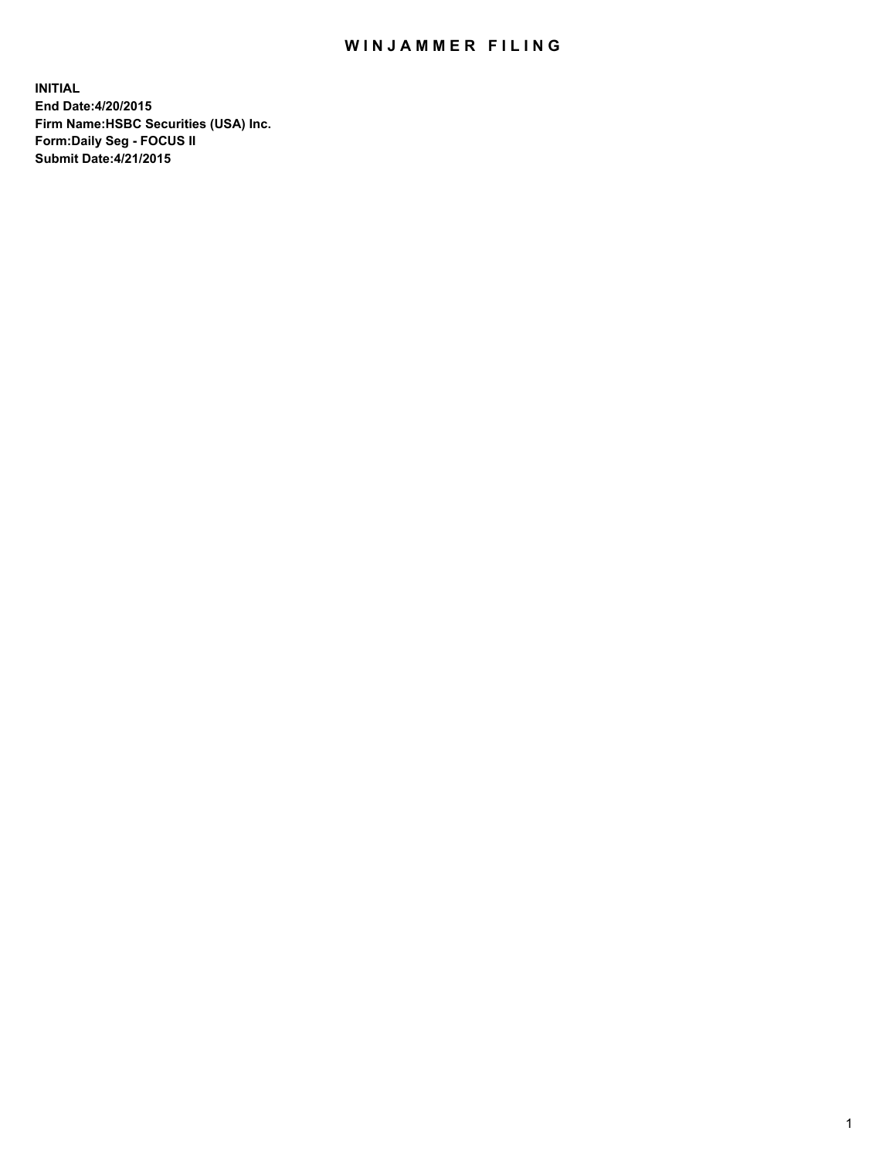## WIN JAMMER FILING

**INITIAL End Date:4/20/2015 Firm Name:HSBC Securities (USA) Inc. Form:Daily Seg - FOCUS II Submit Date:4/21/2015**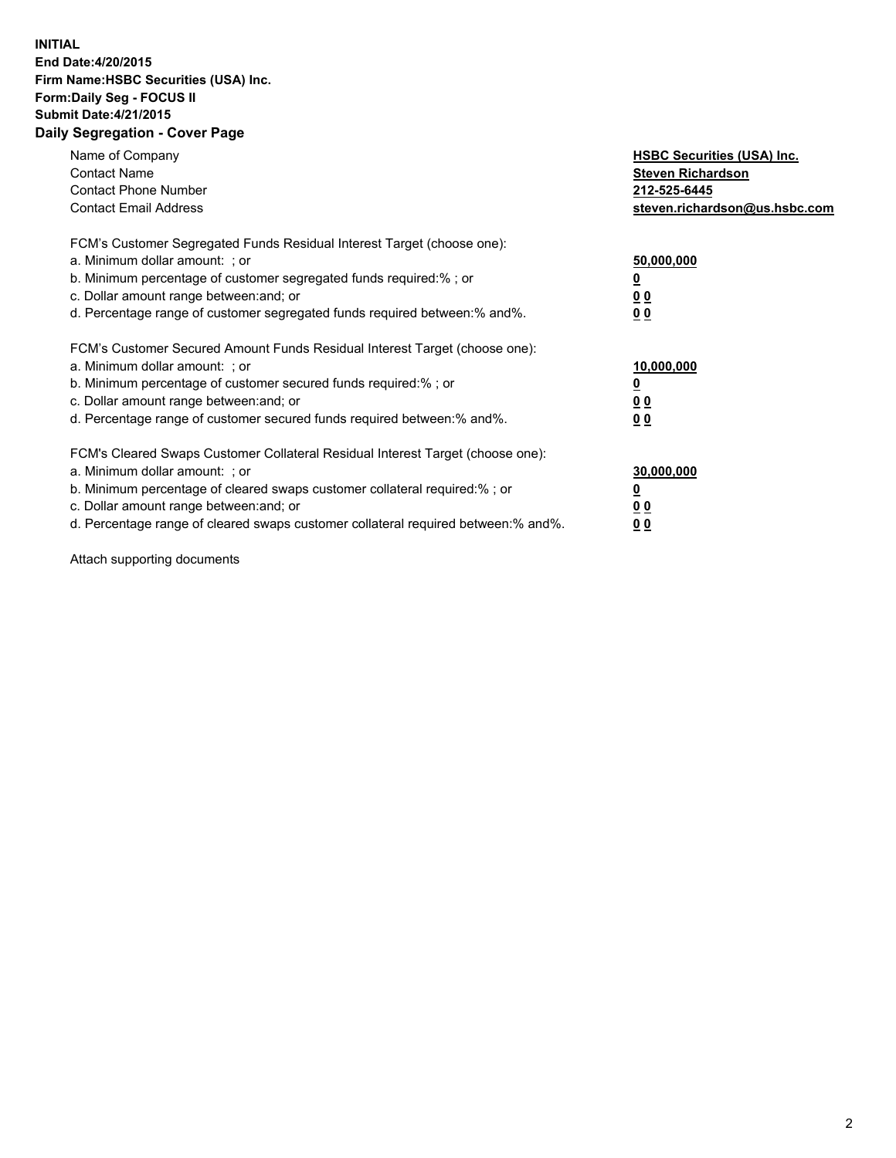## **INITIAL End Date:4/20/2015 Firm Name:HSBC Securities (USA) Inc. Form:Daily Seg - FOCUS II Submit Date:4/21/2015 Daily Segregation - Cover Page**

| Name of Company<br><b>Contact Name</b><br><b>Contact Phone Number</b><br><b>Contact Email Address</b>                                                                                                                                                                                                                          | <b>HSBC Securities (USA) Inc.</b><br><b>Steven Richardson</b><br>212-525-6445<br>steven.richardson@us.hsbc.com |
|--------------------------------------------------------------------------------------------------------------------------------------------------------------------------------------------------------------------------------------------------------------------------------------------------------------------------------|----------------------------------------------------------------------------------------------------------------|
| FCM's Customer Segregated Funds Residual Interest Target (choose one):<br>a. Minimum dollar amount: ; or<br>b. Minimum percentage of customer segregated funds required:%; or<br>c. Dollar amount range between: and; or<br>d. Percentage range of customer segregated funds required between: % and %.                        | 50,000,000<br>0 <sub>0</sub><br>0 <sub>0</sub>                                                                 |
| FCM's Customer Secured Amount Funds Residual Interest Target (choose one):<br>a. Minimum dollar amount: ; or<br>b. Minimum percentage of customer secured funds required:%; or<br>c. Dollar amount range between: and; or<br>d. Percentage range of customer secured funds required between:% and%.                            | 10,000,000<br><u>0</u><br>0 <sub>0</sub><br>0 <sub>0</sub>                                                     |
| FCM's Cleared Swaps Customer Collateral Residual Interest Target (choose one):<br>a. Minimum dollar amount: ; or<br>b. Minimum percentage of cleared swaps customer collateral required:% ; or<br>c. Dollar amount range between: and; or<br>d. Percentage range of cleared swaps customer collateral required between:% and%. | 30,000,000<br>00<br><u>00</u>                                                                                  |

Attach supporting documents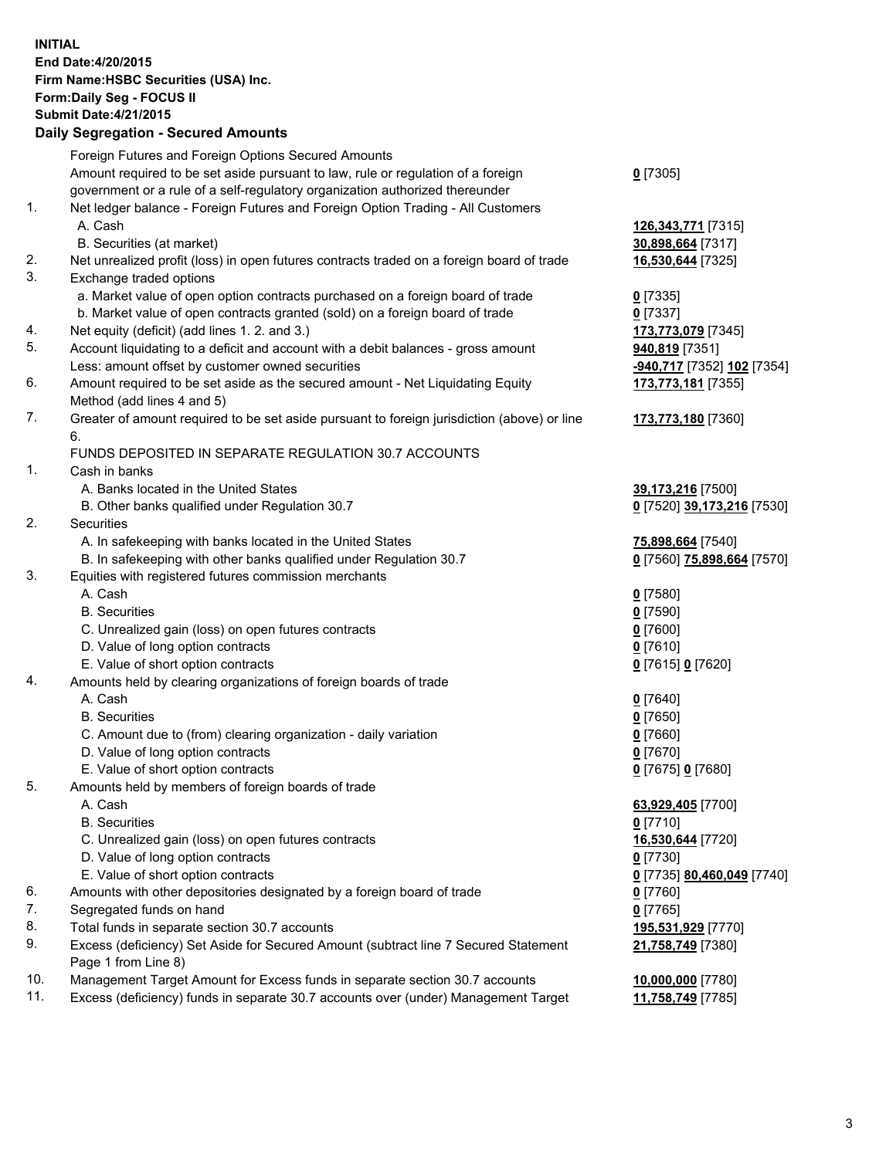**INITIAL End Date:4/20/2015 Firm Name:HSBC Securities (USA) Inc. Form:Daily Seg - FOCUS II Submit Date:4/21/2015 Daily Segregation - Secured Amounts**

|     | Foreign Futures and Foreign Options Secured Amounts                                         |                            |
|-----|---------------------------------------------------------------------------------------------|----------------------------|
|     | Amount required to be set aside pursuant to law, rule or regulation of a foreign            | $0$ [7305]                 |
|     | government or a rule of a self-regulatory organization authorized thereunder                |                            |
| 1.  | Net ledger balance - Foreign Futures and Foreign Option Trading - All Customers             |                            |
|     | A. Cash                                                                                     | 126, 343, 771 [7315]       |
|     | B. Securities (at market)                                                                   | 30,898,664 [7317]          |
| 2.  | Net unrealized profit (loss) in open futures contracts traded on a foreign board of trade   | 16,530,644 [7325]          |
| 3.  | Exchange traded options                                                                     |                            |
|     | a. Market value of open option contracts purchased on a foreign board of trade              | $0$ [7335]                 |
|     | b. Market value of open contracts granted (sold) on a foreign board of trade                | $0$ [7337]                 |
| 4.  | Net equity (deficit) (add lines 1.2. and 3.)                                                | 173,773,079 [7345]         |
| 5.  | Account liquidating to a deficit and account with a debit balances - gross amount           | 940,819 [7351]             |
|     | Less: amount offset by customer owned securities                                            | -940,717 [7352] 102 [7354] |
| 6.  | Amount required to be set aside as the secured amount - Net Liquidating Equity              | 173,773,181 [7355]         |
|     | Method (add lines 4 and 5)                                                                  |                            |
| 7.  | Greater of amount required to be set aside pursuant to foreign jurisdiction (above) or line | 173,773,180 [7360]         |
|     | 6.                                                                                          |                            |
|     | FUNDS DEPOSITED IN SEPARATE REGULATION 30.7 ACCOUNTS                                        |                            |
| 1.  | Cash in banks                                                                               |                            |
|     | A. Banks located in the United States                                                       | 39,173,216 [7500]          |
|     | B. Other banks qualified under Regulation 30.7                                              | 0 [7520] 39,173,216 [7530] |
| 2.  | Securities                                                                                  |                            |
|     | A. In safekeeping with banks located in the United States                                   | 75,898,664 [7540]          |
|     | B. In safekeeping with other banks qualified under Regulation 30.7                          | 0 [7560] 75,898,664 [7570] |
| 3.  | Equities with registered futures commission merchants                                       |                            |
|     | A. Cash                                                                                     | $0$ [7580]                 |
|     | <b>B.</b> Securities                                                                        | $0$ [7590]                 |
|     | C. Unrealized gain (loss) on open futures contracts                                         | $0$ [7600]                 |
|     | D. Value of long option contracts                                                           | $0$ [7610]                 |
|     | E. Value of short option contracts                                                          | 0 [7615] 0 [7620]          |
| 4.  | Amounts held by clearing organizations of foreign boards of trade                           |                            |
|     | A. Cash                                                                                     | $0$ [7640]                 |
|     | <b>B.</b> Securities                                                                        | $0$ [7650]                 |
|     | C. Amount due to (from) clearing organization - daily variation                             | $0$ [7660]                 |
|     | D. Value of long option contracts                                                           | $0$ [7670]                 |
|     | E. Value of short option contracts                                                          | 0 [7675] 0 [7680]          |
| 5.  | Amounts held by members of foreign boards of trade                                          |                            |
|     | A. Cash                                                                                     | 63,929,405 [7700]          |
|     | <b>B.</b> Securities                                                                        | $0$ [7710]                 |
|     | C. Unrealized gain (loss) on open futures contracts                                         | 16,530,644 [7720]          |
|     | D. Value of long option contracts                                                           | $0$ [7730]                 |
|     | E. Value of short option contracts                                                          | 0 [7735] 80,460,049 [7740] |
| 6.  | Amounts with other depositories designated by a foreign board of trade                      | $0$ [7760]                 |
| 7.  | Segregated funds on hand                                                                    | $0$ [7765]                 |
| 8.  | Total funds in separate section 30.7 accounts                                               | 195,531,929 [7770]         |
| 9.  | Excess (deficiency) Set Aside for Secured Amount (subtract line 7 Secured Statement         | 21,758,749 [7380]          |
|     | Page 1 from Line 8)                                                                         |                            |
| 10. | Management Target Amount for Excess funds in separate section 30.7 accounts                 | 10,000,000 [7780]          |
| 11. | Excess (deficiency) funds in separate 30.7 accounts over (under) Management Target          | 11,758,749 [7785]          |
|     |                                                                                             |                            |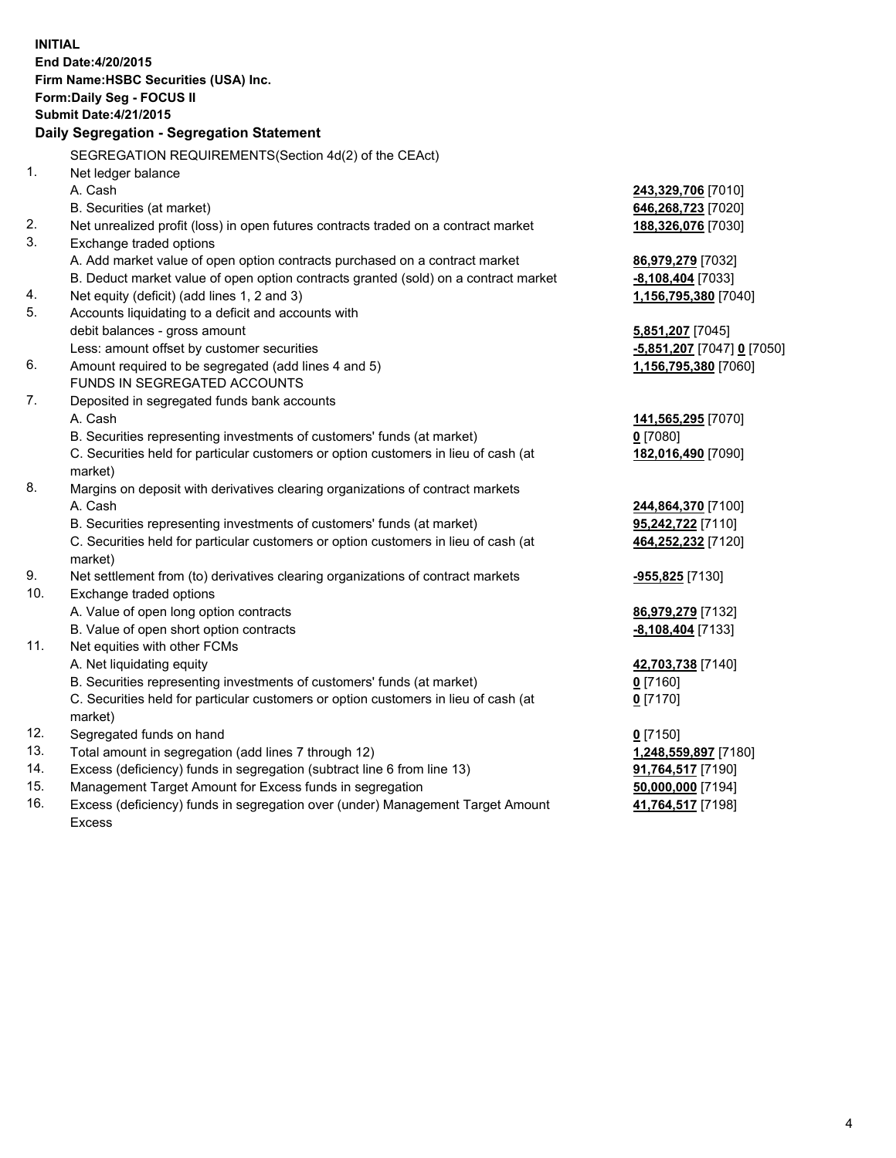| <b>INITIAL</b> | End Date: 4/20/2015<br>Firm Name: HSBC Securities (USA) Inc.<br>Form: Daily Seg - FOCUS II<br><b>Submit Date:4/21/2015</b><br><b>Daily Segregation - Segregation Statement</b> |                            |
|----------------|--------------------------------------------------------------------------------------------------------------------------------------------------------------------------------|----------------------------|
| 1.             | SEGREGATION REQUIREMENTS(Section 4d(2) of the CEAct)<br>Net ledger balance                                                                                                     |                            |
|                | A. Cash                                                                                                                                                                        | 243,329,706 [7010]         |
|                | B. Securities (at market)                                                                                                                                                      | 646,268,723 [7020]         |
| 2.             | Net unrealized profit (loss) in open futures contracts traded on a contract market                                                                                             | 188,326,076 [7030]         |
| 3.             | Exchange traded options                                                                                                                                                        |                            |
|                | A. Add market value of open option contracts purchased on a contract market                                                                                                    | 86,979,279 [7032]          |
|                | B. Deduct market value of open option contracts granted (sold) on a contract market                                                                                            | $-8,108,404$ [7033]        |
| 4.             | Net equity (deficit) (add lines 1, 2 and 3)                                                                                                                                    | 1,156,795,380 [7040]       |
| 5.             | Accounts liquidating to a deficit and accounts with                                                                                                                            |                            |
|                | debit balances - gross amount                                                                                                                                                  | 5,851,207 [7045]           |
|                | Less: amount offset by customer securities                                                                                                                                     | -5,851,207 [7047] 0 [7050] |
| 6.             | Amount required to be segregated (add lines 4 and 5)                                                                                                                           | 1,156,795,380 [7060]       |
|                | FUNDS IN SEGREGATED ACCOUNTS                                                                                                                                                   |                            |
| 7.             | Deposited in segregated funds bank accounts                                                                                                                                    |                            |
|                | A. Cash                                                                                                                                                                        | 141,565,295 [7070]         |
|                | B. Securities representing investments of customers' funds (at market)                                                                                                         | $0$ [7080]                 |
|                | C. Securities held for particular customers or option customers in lieu of cash (at<br>market)                                                                                 | 182,016,490 [7090]         |
| 8.             | Margins on deposit with derivatives clearing organizations of contract markets                                                                                                 |                            |
|                | A. Cash                                                                                                                                                                        | 244,864,370 [7100]         |
|                | B. Securities representing investments of customers' funds (at market)                                                                                                         | 95,242,722 [7110]          |
|                | C. Securities held for particular customers or option customers in lieu of cash (at<br>market)                                                                                 | 464,252,232 [7120]         |
| 9.             | Net settlement from (to) derivatives clearing organizations of contract markets                                                                                                | -955,825 [7130]            |
| 10.            | Exchange traded options                                                                                                                                                        |                            |
|                | A. Value of open long option contracts                                                                                                                                         | 86,979,279 [7132]          |
|                | B. Value of open short option contracts                                                                                                                                        | -8,108,404 [7133]          |
| 11.            | Net equities with other FCMs                                                                                                                                                   |                            |
|                | A. Net liquidating equity                                                                                                                                                      | 42,703,738 [7140]          |
|                | B. Securities representing investments of customers' funds (at market)                                                                                                         | $0$ [7160]                 |
|                | C. Securities held for particular customers or option customers in lieu of cash (at<br>market)                                                                                 | $0$ [7170]                 |
| 12.            | Segregated funds on hand                                                                                                                                                       | $0$ [7150]                 |
| 13.            | Total amount in segregation (add lines 7 through 12)                                                                                                                           | 1,248,559,897 [7180]       |
| 14.            | Excess (deficiency) funds in segregation (subtract line 6 from line 13)                                                                                                        | 91,764,517 [7190]          |
| 15.            | Management Target Amount for Excess funds in segregation                                                                                                                       | 50,000,000 [7194]          |
| 16.            | Excess (deficiency) funds in segregation over (under) Management Target Amount                                                                                                 | 41,764,517 [7198]          |
|                | Excess                                                                                                                                                                         |                            |